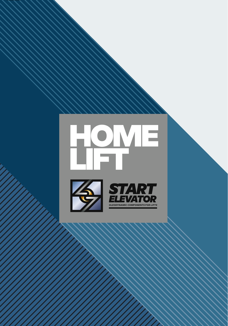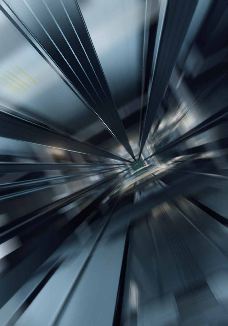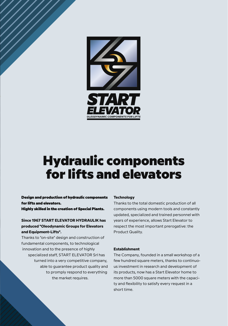

### Hydraulic components for lifts and elevators

Design and production of hydraulic components for lifts and elevators.

Highly skilled in the creation of Special Plants.

#### **Since 1967 START ELEVATOR HYDRAULIK has produced "Oleodynamic Groups for Elevators and Equipment-Lifts".**

Thanks to "on-site" design and construction of fundamental components, to technological innovation and to the presence of highly specialized staff, START ELEVATOR Srl has turned into a very competitive company, able to guarantee product quality and to promply respond to everything the market requires.

#### **Technology**

Thanks to the total domestic production of all components using modern tools and constantly updated, specialized and trained personnel with years of experience, allows Start Elevator to respect the most important prerogative: the Product Quality.

#### **Establishment**

The Company, founded in a small workshop of a few hundred square meters, thanks to continuous investment in research and development of its products, now has a Start Elevator home to more than 5000 square meters with the capacity and flexibility to satisfy every request in a short time.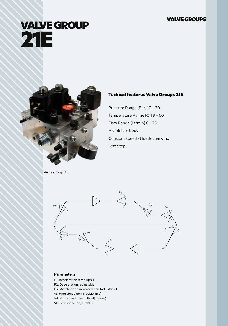### VALVE GROUPS

### VALVE GROUP 21E



#### **Techical features Valve Groups 21E**

Pressure Range [Bar] 10 – 70 Temperature Range [C°] 8 – 60 Flow Range [Lt/min] 6 – 75 Aluminium body Constant speed at loads changing Soft Stop

Valve group 21E



#### **Parameters**

- P1. Acceleration ramp uphill
- P2. Deceleration (adjustable)
- P3. Acceleration ramp downhill (adjustable)
- Vs. High speed uphill (adjustable)
- Vd. High speed downhill (adjustable)
- Vb. Low speed (adjustable)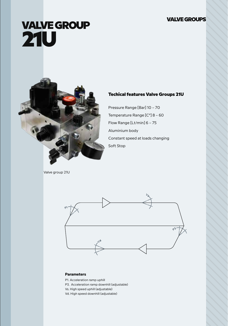### VALVE GROUPS

# VALVE GROUP 21U



### **Techical features Valve Groups 21U**

Pressure Range [Bar] 10 – 70 Temperature Range [C°] 8 – 60 Flow Range [Lt/min] 6 – 75 Aluminium body Constant speed at loads changing Soft Stop

Valve group 21U



#### **Parameters**

- P1. Acceleration ramp uphill
- P3. Acceleration ramp downhill (adjustable)
- Vs. High speed uphill (adjustable)
- Vd. High speed downhill (adjustable)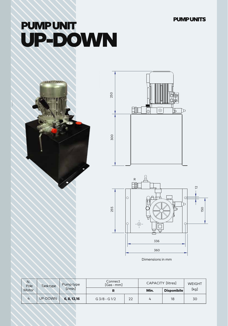### PUMP UNITS

# PUMP UNIT UP-DOWN







Dimensions in mm

| N.<br>Pole     | Tank type | Pump type    | Connect<br>$[Gas-mm]$ |      | <b>CAPACITY</b> [litres] | <b>WEIGHT</b> |    |
|----------------|-----------|--------------|-----------------------|------|--------------------------|---------------|----|
| Motor          |           | [1/min]      |                       | Min. | Disponibile              | [kg]          |    |
| $\overline{4}$ | UP-DOWN   | 6, 8, 12, 16 | $G$ 3/8 - $G$ 1/2     | 22   | 4                        | 18            | 30 |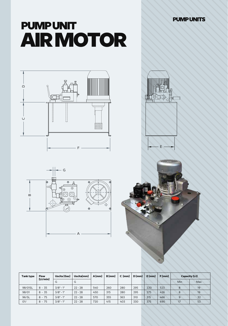PUMP UNITS

# PUMP UNIT AIR MOTOR









| <b>Tank type</b> | <b>Flow</b><br>[Lt/min] | <b>Uscita [Gas]</b> | Uscita[mm] | A[mm] | <b>B</b> [mm] | $C$ [mm] | D [mm] | E[mm] | F [mm] |      | <b>Capacity [Lt]</b> |
|------------------|-------------------------|---------------------|------------|-------|---------------|----------|--------|-------|--------|------|----------------------|
|                  |                         | G                   | G          |       |               |          |        |       |        | Min. | Max                  |
| 98/01SL          | $8 - 35$                | $3/8" - 1"$         | $22 - 28$  | 540   | 260           | 280      | 295    | 220   | 523    | 8    | 19                   |
| 98/01            | $8 - 35$                | $3/8" - 1"$         | $22 - 28$  | 450   | 315           | 280      | 295    | 275   | 426    | 8    | 19                   |
| 96/SL            | $8 - 75$                | $3/8" - 1"$         | $22 - 28$  | 570   | 355           | 363      | 310    | 315   | 466    | 9    | 32                   |
| O1/              | $8 - 75$                | $3/8" - 1"$         | $22 - 28$  | 720   | 415           | 403      | 330    | 375   | 690    | 17   | 53                   |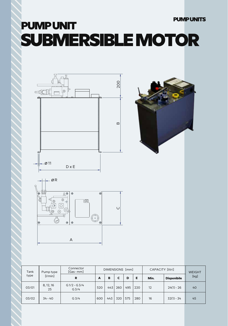# PUMP UNIT SUBMERSIBLE MOTOR





| Tank  | Pump type       | Connector<br>$[Gas-mm]$           | DIMENSIONS [mm] |     |     |     |     | <b>CAPACITY</b> [litri] | <b>WEIGHT</b>      |      |
|-------|-----------------|-----------------------------------|-----------------|-----|-----|-----|-----|-------------------------|--------------------|------|
| type  | [1/min]         | R                                 | A               | в   | C   | D   | Е   | Min.                    | <b>Disponibile</b> | [kg] |
| 03/01 | 8, 12, 16<br>25 | $G1/2 - G3/4$<br>G <sub>3/4</sub> | 520             | 443 | 260 | 495 | 220 | 12                      | $24(1) - 26$       | 40   |
| 03/02 | $34 - 40$       | G <sub>3/4</sub>                  | 600             | 443 | 320 | 575 | 280 | 16                      | $32(1) - 34$       | 45   |

PUMP UNITS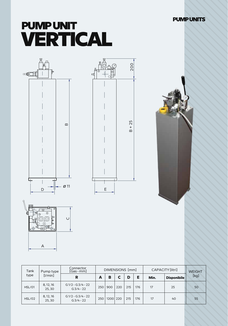# PUMP UNIT VERTICAL





| Tank          | Pump type          | Connector<br>[Gas-mm]             |     | DIMENSIONS [mm]   |     |     |     | <b>CAPACITY</b> [litri] | <b>WEIGHT</b>      |      |
|---------------|--------------------|-----------------------------------|-----|-------------------|-----|-----|-----|-------------------------|--------------------|------|
| type          | [1/min]            | R                                 | A   | в                 | C   | D   | Е   | Min.                    | <b>Disponibile</b> | [kg] |
| <b>HSL/01</b> | 8, 12, 16<br>25,30 | $G1/2 - G3/4 - 22$<br>$G3/4 - 22$ | 250 | 900               | 220 | 215 | 176 | 17                      | 25                 | 50   |
| <b>HSL/02</b> | 8, 12, 16<br>25,30 | $G1/2 - G3/4 - 22$<br>$G3/4 - 22$ | 250 | 1200 <sup> </sup> | 220 | 215 | 176 | 17                      | 40                 | 55   |

20  $\circ$ 

B + 25

### PUMP UNITS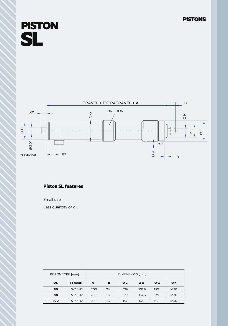TRAVEL + EXTRATRAVEL + A 50 JUNCTION 30\* G  $\geq$ Ø Ø  $\overline{\phantom{a}}$  $\Box$ Ø S  $\cup$ Ø Ø Ø 30\* ▥ თ  $*$ Optional 80 B

### **Piston SL features**

Small size

SL

PISTON

Less quantity of oil

| PISTON TYPE [mm] |                 | DIMENSIONS [mm] |    |     |       |     |     |  |  |  |  |
|------------------|-----------------|-----------------|----|-----|-------|-----|-----|--|--|--|--|
| ØS               | <b>Spessori</b> | A               | B  | ØC  | ØD    | ØG  | ØK  |  |  |  |  |
| 80               | $5 - 7.5 - 12$  | 200             | 23 | 126 | 101.6 | 130 | M30 |  |  |  |  |
| 90               | $5 - 7.5 - 12$  | 200             | 23 | 137 | 114.3 | 139 | M30 |  |  |  |  |
| 100              | $5 - 7.5 - 12$  | 200             | 23 | 157 | 133   | 159 | M30 |  |  |  |  |

**PISTONS**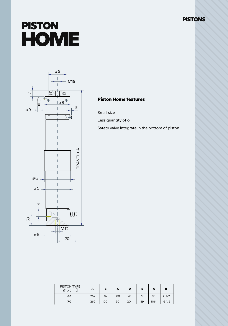**PISTONS** 

# HOME PISTON



### **Piston Home features**

Small size

Less quantity of oil

Safety valve integrate in the bottom of piston

| <b>PISTON TYPE</b><br>$\varnothing$ S [mm] | A   | в   |    | D  | Е  | G   | R                |
|--------------------------------------------|-----|-----|----|----|----|-----|------------------|
| 60                                         | 262 | 87  | 80 | 20 | 79 | 96  | G <sub>1/2</sub> |
| 70                                         | 262 | 100 | 90 | 20 | 89 | 106 | G <sub>1/2</sub> |